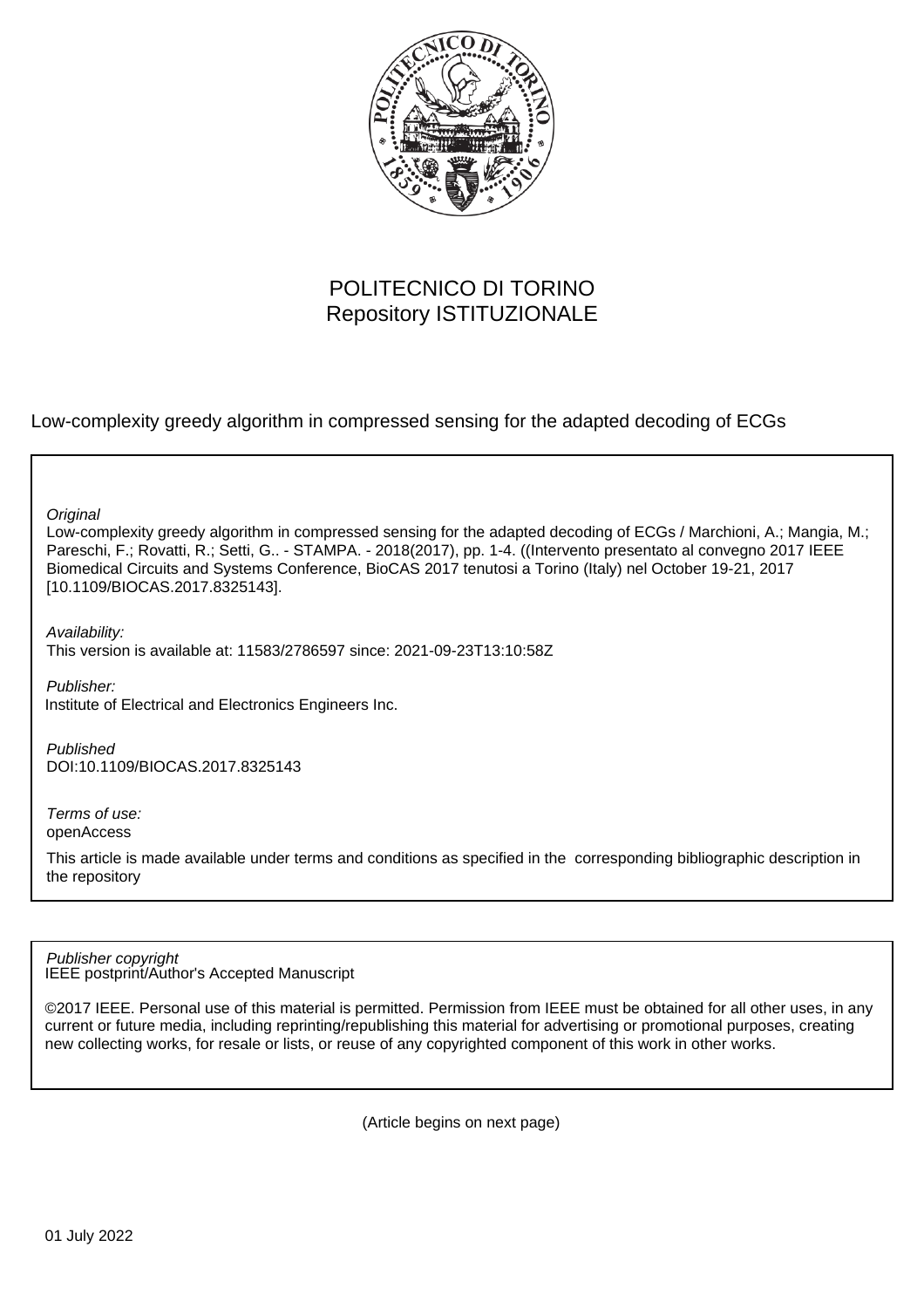

## POLITECNICO DI TORINO Repository ISTITUZIONALE

Low-complexity greedy algorithm in compressed sensing for the adapted decoding of ECGs

**Original** 

Low-complexity greedy algorithm in compressed sensing for the adapted decoding of ECGs / Marchioni, A.; Mangia, M.; Pareschi, F.; Rovatti, R.; Setti, G.. - STAMPA. - 2018(2017), pp. 1-4. ((Intervento presentato al convegno 2017 IEEE Biomedical Circuits and Systems Conference, BioCAS 2017 tenutosi a Torino (Italy) nel October 19-21, 2017 [10.1109/BIOCAS.2017.8325143].

Availability: This version is available at: 11583/2786597 since: 2021-09-23T13:10:58Z

Publisher: Institute of Electrical and Electronics Engineers Inc.

Published DOI:10.1109/BIOCAS.2017.8325143

Terms of use: openAccess

This article is made available under terms and conditions as specified in the corresponding bibliographic description in the repository

IEEE postprint/Author's Accepted Manuscript Publisher copyright

©2017 IEEE. Personal use of this material is permitted. Permission from IEEE must be obtained for all other uses, in any current or future media, including reprinting/republishing this material for advertising or promotional purposes, creating new collecting works, for resale or lists, or reuse of any copyrighted component of this work in other works.

(Article begins on next page)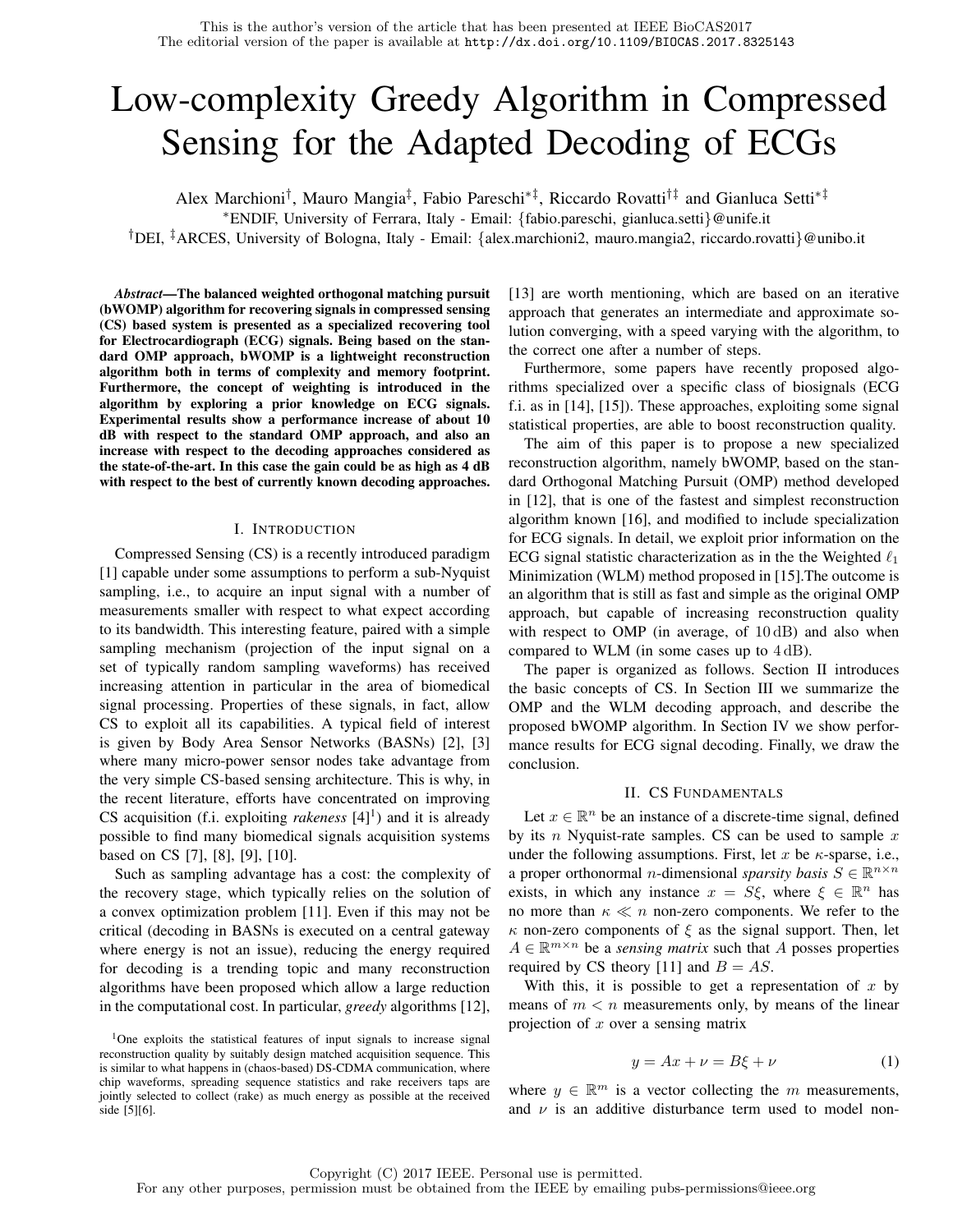# Low-complexity Greedy Algorithm in Compressed Sensing for the Adapted Decoding of ECGs

Alex Marchioni† , Mauro Mangia‡ , Fabio Pareschi∗‡, Riccardo Rovatti†‡ and Gianluca Setti∗‡

<sup>∗</sup>ENDIF, University of Ferrara, Italy - Email: {fabio.pareschi, gianluca.setti}@unife.it

†DEI, ‡ARCES, University of Bologna, Italy - Email: {alex.marchioni2, mauro.mangia2, riccardo.rovatti}@unibo.it

*Abstract*—The balanced weighted orthogonal matching pursuit (bWOMP) algorithm for recovering signals in compressed sensing (CS) based system is presented as a specialized recovering tool for Electrocardiograph (ECG) signals. Being based on the standard OMP approach, bWOMP is a lightweight reconstruction algorithm both in terms of complexity and memory footprint. Furthermore, the concept of weighting is introduced in the algorithm by exploring a prior knowledge on ECG signals. Experimental results show a performance increase of about 10 dB with respect to the standard OMP approach, and also an increase with respect to the decoding approaches considered as the state-of-the-art. In this case the gain could be as high as 4 dB with respect to the best of currently known decoding approaches.

#### I. INTRODUCTION

Compressed Sensing (CS) is a recently introduced paradigm [1] capable under some assumptions to perform a sub-Nyquist sampling, i.e., to acquire an input signal with a number of measurements smaller with respect to what expect according to its bandwidth. This interesting feature, paired with a simple sampling mechanism (projection of the input signal on a set of typically random sampling waveforms) has received increasing attention in particular in the area of biomedical signal processing. Properties of these signals, in fact, allow CS to exploit all its capabilities. A typical field of interest is given by Body Area Sensor Networks (BASNs) [2], [3] where many micro-power sensor nodes take advantage from the very simple CS-based sensing architecture. This is why, in the recent literature, efforts have concentrated on improving CS acquisition (f.i. exploiting *rakeness*  $[4]$ <sup>1</sup>) and it is already possible to find many biomedical signals acquisition systems based on CS [7], [8], [9], [10].

Such as sampling advantage has a cost: the complexity of the recovery stage, which typically relies on the solution of a convex optimization problem [11]. Even if this may not be critical (decoding in BASNs is executed on a central gateway where energy is not an issue), reducing the energy required for decoding is a trending topic and many reconstruction algorithms have been proposed which allow a large reduction in the computational cost. In particular, *greedy* algorithms [12],

<sup>1</sup>One exploits the statistical features of input signals to increase signal reconstruction quality by suitably design matched acquisition sequence. This is similar to what happens in (chaos-based) DS-CDMA communication, where chip waveforms, spreading sequence statistics and rake receivers taps are jointly selected to collect (rake) as much energy as possible at the received side [5][6].

[13] are worth mentioning, which are based on an iterative approach that generates an intermediate and approximate solution converging, with a speed varying with the algorithm, to the correct one after a number of steps.

Furthermore, some papers have recently proposed algorithms specialized over a specific class of biosignals (ECG f.i. as in [14], [15]). These approaches, exploiting some signal statistical properties, are able to boost reconstruction quality.

The aim of this paper is to propose a new specialized reconstruction algorithm, namely bWOMP, based on the standard Orthogonal Matching Pursuit (OMP) method developed in [12], that is one of the fastest and simplest reconstruction algorithm known [16], and modified to include specialization for ECG signals. In detail, we exploit prior information on the ECG signal statistic characterization as in the the Weighted  $\ell_1$ Minimization (WLM) method proposed in [15].The outcome is an algorithm that is still as fast and simple as the original OMP approach, but capable of increasing reconstruction quality with respect to OMP (in average, of  $10 \text{ dB}$ ) and also when compared to WLM (in some cases up to 4 dB).

The paper is organized as follows. Section II introduces the basic concepts of CS. In Section III we summarize the OMP and the WLM decoding approach, and describe the proposed bWOMP algorithm. In Section IV we show performance results for ECG signal decoding. Finally, we draw the conclusion.

#### II. CS FUNDAMENTALS

Let  $x \in \mathbb{R}^n$  be an instance of a discrete-time signal, defined by its n Nyquist-rate samples. CS can be used to sample  $x$ under the following assumptions. First, let x be  $\kappa$ -sparse, i.e., a proper orthonormal *n*-dimensional *sparsity basis*  $S \in \mathbb{R}^{n \times n}$ exists, in which any instance  $x = S\xi$ , where  $\xi \in \mathbb{R}^n$  has no more than  $\kappa \ll n$  non-zero components. We refer to the  $\kappa$  non-zero components of  $\xi$  as the signal support. Then, let  $A \in \mathbb{R}^{m \times n}$  be a *sensing matrix* such that A posses properties required by CS theory [11] and  $B = AS$ .

With this, it is possible to get a representation of  $x$  by means of  $m < n$  measurements only, by means of the linear projection of  $x$  over a sensing matrix

$$
y = Ax + \nu = B\xi + \nu \tag{1}
$$

where  $y \in \mathbb{R}^m$  is a vector collecting the m measurements, and  $\nu$  is an additive disturbance term used to model non-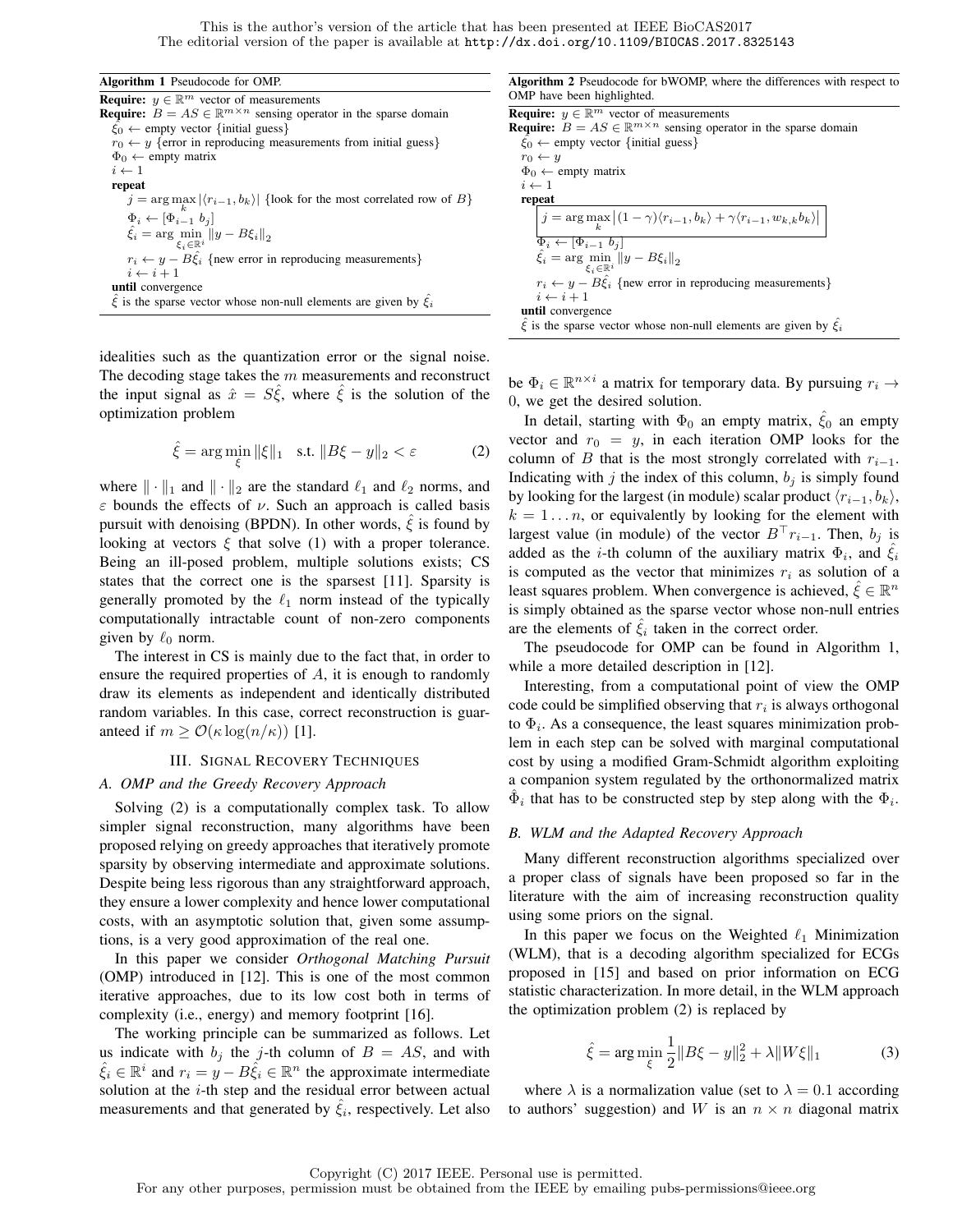#### Algorithm 1 Pseudocode for OMP.

| <b>Require:</b> $y \in \mathbb{R}^m$ vector of measurements                                |
|--------------------------------------------------------------------------------------------|
| <b>Require:</b> $B = AS \in \mathbb{R}^{m \times n}$ sensing operator in the sparse domain |
| $\xi_0 \leftarrow$ empty vector {initial guess}                                            |
| $r_0 \leftarrow y$ {error in reproducing measurements from initial guess}                  |
| $\Phi_0 \leftarrow$ empty matrix                                                           |
| $i \leftarrow 1$                                                                           |
| repeat                                                                                     |
| $j = \arg \max  \langle r_{i-1}, b_k \rangle $ {look for the most correlated row of B}     |
| $\Phi_i \leftarrow [\Phi_{i-1} b_j]$                                                       |
| $\hat{\xi}_i = \arg \min_{\xi_i \in \mathbb{R}^i}   y - B\xi_i  _2$                        |
|                                                                                            |
| $r_i \leftarrow y - B\hat{\xi}_i$ {new error in reproducing measurements}                  |
| $i \leftarrow i + 1$                                                                       |
| until convergence                                                                          |
| $\xi$ is the sparse vector whose non-null elements are given by $\xi_i$                    |
|                                                                                            |

idealities such as the quantization error or the signal noise. The decoding stage takes the  $m$  measurements and reconstruct the input signal as  $\hat{x} = S\hat{\xi}$ , where  $\hat{\xi}$  is the solution of the optimization problem

$$
\hat{\xi} = \arg\min_{\xi} \|\xi\|_1 \quad \text{s.t. } \|B\xi - y\|_2 < \varepsilon \tag{2}
$$

where  $\|\cdot\|_1$  and  $\|\cdot\|_2$  are the standard  $\ell_1$  and  $\ell_2$  norms, and  $\varepsilon$  bounds the effects of  $\nu$ . Such an approach is called basis pursuit with denoising (BPDN). In other words,  $\xi$  is found by looking at vectors  $\xi$  that solve (1) with a proper tolerance. Being an ill-posed problem, multiple solutions exists; CS states that the correct one is the sparsest [11]. Sparsity is generally promoted by the  $\ell_1$  norm instead of the typically computationally intractable count of non-zero components given by  $\ell_0$  norm.

The interest in CS is mainly due to the fact that, in order to ensure the required properties of A, it is enough to randomly draw its elements as independent and identically distributed random variables. In this case, correct reconstruction is guaranteed if  $m \geq \mathcal{O}(\kappa \log(n/\kappa))$  [1].

### III. SIGNAL RECOVERY TECHNIQUES

#### *A. OMP and the Greedy Recovery Approach*

Solving (2) is a computationally complex task. To allow simpler signal reconstruction, many algorithms have been proposed relying on greedy approaches that iteratively promote sparsity by observing intermediate and approximate solutions. Despite being less rigorous than any straightforward approach, they ensure a lower complexity and hence lower computational costs, with an asymptotic solution that, given some assumptions, is a very good approximation of the real one.

In this paper we consider *Orthogonal Matching Pursuit* (OMP) introduced in [12]. This is one of the most common iterative approaches, due to its low cost both in terms of complexity (i.e., energy) and memory footprint [16].

The working principle can be summarized as follows. Let us indicate with  $b_i$  the j-th column of  $B = AS$ , and with  $\hat{\xi}_i \in \mathbb{R}^i$  and  $r_i = y - B\hat{\xi}_i \in \mathbb{R}^n$  the approximate intermediate solution at the  $i$ -th step and the residual error between actual measurements and that generated by  $\hat{\xi}_i$ , respectively. Let also

Algorithm 2 Pseudocode for bWOMP, where the differences with respect to OMP have been highlighted.

| <b>Require:</b> $y \in \mathbb{R}^m$ vector of measurements                                                  |
|--------------------------------------------------------------------------------------------------------------|
| <b>Require:</b> $B = AS \in \mathbb{R}^{m \times n}$ sensing operator in the sparse domain                   |
| $\xi_0 \leftarrow$ empty vector {initial guess}                                                              |
| $r_0 \leftarrow y$                                                                                           |
| $\Phi_0 \leftarrow$ empty matrix                                                                             |
| $i \leftarrow 1$                                                                                             |
| repeat                                                                                                       |
| $j = \arg \max_{k}  (1 - \gamma)\langle r_{i-1}, b_k \rangle + \gamma \langle r_{i-1}, w_{k,k} b_k \rangle $ |
| $\overline{\Phi_i \leftarrow [\Phi_{i-1} b_j]}$                                                              |
| $\hat{\xi}_i = \arg \min   y - B\xi_i  _2$<br>$\varepsilon_i \in \mathbb{R}^i$                               |
| $r_i \leftarrow y - B\hat{\xi}_i$ {new error in reproducing measurements}                                    |
| $i \leftarrow i + 1$                                                                                         |
| until convergence                                                                                            |
| $\hat{\xi}$ is the sparse vector whose non-null elements are given by $\xi_i$                                |

be  $\Phi_i \in \mathbb{R}^{n \times i}$  a matrix for temporary data. By pursuing  $r_i \rightarrow$ 0, we get the desired solution.

In detail, starting with  $\Phi_0$  an empty matrix,  $\tilde{\xi}_0$  an empty vector and  $r_0 = y$ , in each iteration OMP looks for the column of B that is the most strongly correlated with  $r_{i-1}$ . Indicating with  $j$  the index of this column,  $b_j$  is simply found by looking for the largest (in module) scalar product  $\langle r_{i-1}, b_k \rangle$ ,  $k = 1...n$ , or equivalently by looking for the element with largest value (in module) of the vector  $B<sup>T</sup>r<sub>i-1</sub>$ . Then,  $b<sub>j</sub>$  is added as the *i*-th column of the auxiliary matrix  $\Phi_i$ , and  $\hat{\xi}_i$ is computed as the vector that minimizes  $r_i$  as solution of a least squares problem. When convergence is achieved,  $\hat{\xi} \in \mathbb{R}^n$ is simply obtained as the sparse vector whose non-null entries are the elements of  $\hat{\xi}_i$  taken in the correct order.

The pseudocode for OMP can be found in Algorithm 1, while a more detailed description in [12].

Interesting, from a computational point of view the OMP code could be simplified observing that  $r_i$  is always orthogonal to  $\Phi_i$ . As a consequence, the least squares minimization problem in each step can be solved with marginal computational cost by using a modified Gram-Schmidt algorithm exploiting a companion system regulated by the orthonormalized matrix  $\hat{\Phi}_i$  that has to be constructed step by step along with the  $\Phi_i$ .

#### *B. WLM and the Adapted Recovery Approach*

Many different reconstruction algorithms specialized over a proper class of signals have been proposed so far in the literature with the aim of increasing reconstruction quality using some priors on the signal.

In this paper we focus on the Weighted  $\ell_1$  Minimization (WLM), that is a decoding algorithm specialized for ECGs proposed in [15] and based on prior information on ECG statistic characterization. In more detail, in the WLM approach the optimization problem (2) is replaced by

$$
\hat{\xi} = \arg\min_{\xi} \frac{1}{2} \|B\xi - y\|_2^2 + \lambda \|W\xi\|_1
$$
 (3)

where  $\lambda$  is a normalization value (set to  $\lambda = 0.1$  according to authors' suggestion) and W is an  $n \times n$  diagonal matrix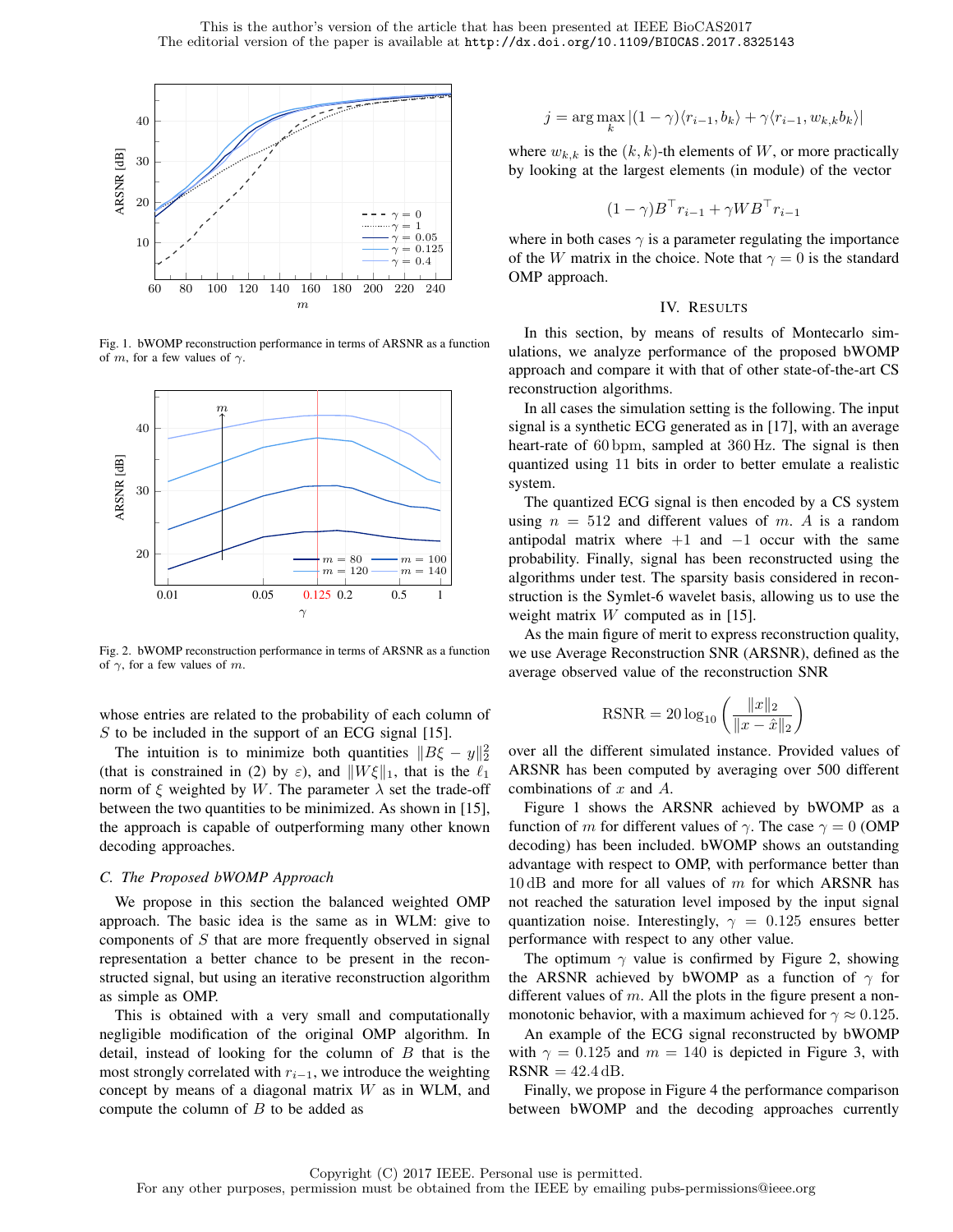

Fig. 1. bWOMP reconstruction performance in terms of ARSNR as a function 1 of m, for a few values of  $\gamma$ .



Fig. 2. bWOMP reconstruction performance in terms of ARSNR as a function of  $\gamma$ , for a few values of m.

whose entries are related to the probability of each column of  $S$  to be included in the support of an ECG signal [15].

The intuition is to minimize both quantities  $||B\xi - y||_2^2$ (that is constrained in (2) by  $\varepsilon$ ), and  $||W \xi||_1$ , that is the  $\ell_1$ norm of  $\xi$  weighted by W. The parameter  $\lambda$  set the trade-off between the two quantities to be minimized. As shown in [15], the approach is capable of outperforming many other known decoding approaches.

#### *C. The Proposed bWOMP Approach*

We propose in this section the balanced weighted OMP approach. The basic idea is the same as in WLM: give to components of S that are more frequently observed in signal representation a better chance to be present in the reconstructed signal, but using an iterative reconstruction algorithm as simple as OMP.

This is obtained with a very small and computationally negligible modification of the original OMP algorithm. In detail, instead of looking for the column of  $B$  that is the most strongly correlated with  $r_{i-1}$ , we introduce the weighting concept by means of a diagonal matrix W as in WLM, and compute the column of  $B$  to be added as

$$
j = \arg\max_{k} |(1 - \gamma)\langle r_{i-1}, b_k \rangle + \gamma \langle r_{i-1}, w_{k,k} b_k \rangle|
$$

where  $w_{k,k}$  is the  $(k, k)$ -th elements of W, or more practically by looking at the largest elements (in module) of the vector

$$
(1 - \gamma)B^{\top}r_{i-1} + \gamma WB^{\top}r_{i-1}
$$

where in both cases  $\gamma$  is a parameter regulating the importance of the W matrix in the choice. Note that  $\gamma = 0$  is the standard OMP approach.

#### IV. RESULTS

In this section, by means of results of Montecarlo simulations, we analyze performance of the proposed bWOMP approach and compare it with that of other state-of-the-art CS reconstruction algorithms.

In all cases the simulation setting is the following. The input signal is a synthetic ECG generated as in [17], with an average heart-rate of 60 bpm, sampled at 360 Hz. The signal is then quantized using 11 bits in order to better emulate a realistic system.

The quantized ECG signal is then encoded by a CS system using  $n = 512$  and different values of m. A is a random antipodal matrix where  $+1$  and  $-1$  occur with the same probability. Finally, signal has been reconstructed using the algorithms under test. The sparsity basis considered in reconstruction is the Symlet-6 wavelet basis, allowing us to use the weight matrix W computed as in [15].

As the main figure of merit to express reconstruction quality, we use Average Reconstruction SNR (ARSNR), defined as the average observed value of the reconstruction SNR

$$
\text{RSNR} = 20 \log_{10} \left( \frac{\|x\|_2}{\|x - \hat{x}\|_2} \right)
$$

over all the different simulated instance. Provided values of ARSNR has been computed by averaging over 500 different combinations of x and A.

Figure 1 shows the ARSNR achieved by bWOMP as a function of m for different values of  $\gamma$ . The case  $\gamma = 0$  (OMP) decoding) has been included. bWOMP shows an outstanding advantage with respect to OMP, with performance better than  $10$  dB and more for all values of  $m$  for which ARSNR has not reached the saturation level imposed by the input signal quantization noise. Interestingly,  $\gamma = 0.125$  ensures better performance with respect to any other value.

The optimum  $\gamma$  value is confirmed by Figure 2, showing the ARSNR achieved by bWOMP as a function of  $\gamma$  for different values of  $m$ . All the plots in the figure present a nonmonotonic behavior, with a maximum achieved for  $\gamma \approx 0.125$ .

An example of the ECG signal reconstructed by bWOMP with  $\gamma = 0.125$  and  $m = 140$  is depicted in Figure 3, with  $RSNR = 42.4 dB$ .

Finally, we propose in Figure 4 the performance comparison between bWOMP and the decoding approaches currently